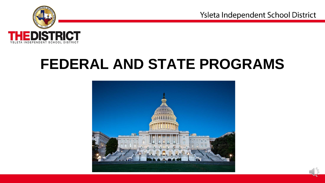

# **FEDERAL AND STATE PROGRAMS**

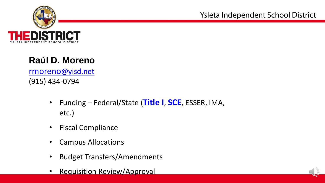

### **Raúl D. Moreno**

rmoreno[@yisd.net](mailto:rmoreno@yisd.net) (915) 434-0794

- Funding Federal/State (**Title I**, **SCE**, ESSER, IMA, etc.)
- Fiscal Compliance
- Campus Allocations
- Budget Transfers/Amendments
- Requisition Review/Approval

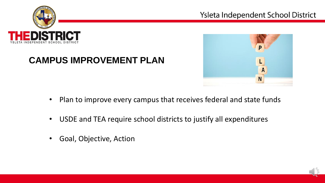





#### **CAMPUS IMPROVEMENT PLAN**

- Plan to improve every campus that receives federal and state funds
- USDE and TEA require school districts to justify all expenditures
- Goal, Objective, Action

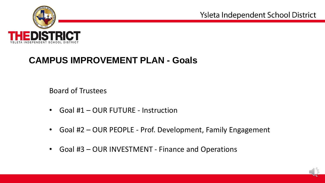

#### **CAMPUS IMPROVEMENT PLAN - Goals**

Board of Trustees

- Goal #1 OUR FUTURE Instruction
- Goal #2 OUR PEOPLE Prof. Development, Family Engagement
- Goal #3 OUR INVESTMENT Finance and Operations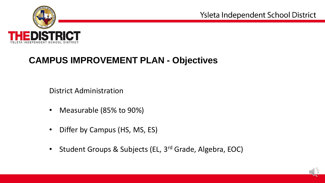

## **CAMPUS IMPROVEMENT PLAN - Objectives**

District Administration

- Measurable (85% to 90%)
- Differ by Campus (HS, MS, ES)
- Student Groups & Subjects (EL, 3<sup>rd</sup> Grade, Algebra, EOC)

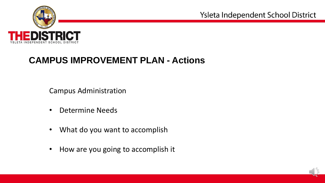

#### **CAMPUS IMPROVEMENT PLAN - Actions**

Campus Administration

- Determine Needs
- What do you want to accomplish
- How are you going to accomplish it

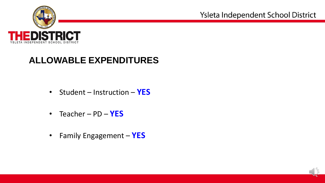

## **ALLOWABLE EXPENDITURES**

- Student Instruction **YES**
- Teacher PD **YES**
- Family Engagement **YES**

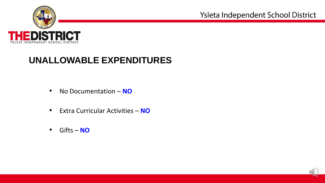

### **UNALLOWABLE EXPENDITURES**

- No Documentation **NO**
- Extra Curricular Activities **NO**
- Gifts **NO**

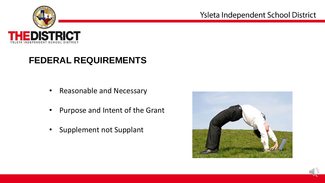

## **FEDERAL REQUIREMENTS**

- Reasonable and Necessary
- Purpose and Intent of the Grant
- Supplement not Supplant



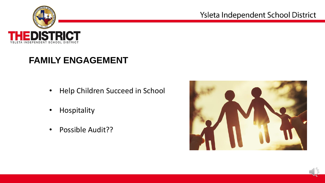

# **FAMILY ENGAGEMENT**

- Help Children Succeed in School
- Hospitality
- Possible Audit??